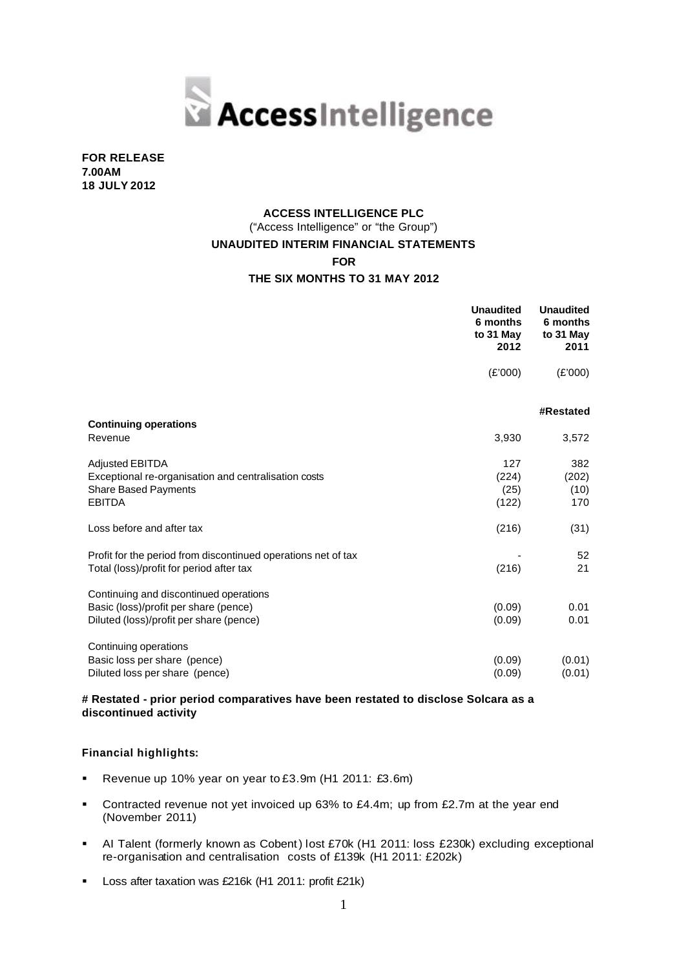

**FOR RELEASE 7.00AM 18 JULY 2012**

# **ACCESS INTELLIGENCE PLC**  ("Access Intelligence" or "the Group") **UNAUDITED INTERIM FINANCIAL STATEMENTS FOR THE SIX MONTHS TO 31 MAY 2012**

|                                                                                                                            | <b>Unaudited</b><br>6 months<br>to 31 May<br>2012 | <b>Unaudited</b><br>6 months<br>to 31 May<br>2011 |
|----------------------------------------------------------------------------------------------------------------------------|---------------------------------------------------|---------------------------------------------------|
|                                                                                                                            | (E'000)                                           | (E'000)                                           |
| <b>Continuing operations</b>                                                                                               |                                                   | #Restated                                         |
| Revenue                                                                                                                    | 3,930                                             | 3,572                                             |
| <b>Adjusted EBITDA</b><br>Exceptional re-organisation and centralisation costs<br>Share Based Payments<br><b>EBITDA</b>    | 127<br>(224)<br>(25)<br>(122)                     | 382<br>(202)<br>(10)<br>170                       |
| Loss before and after tax                                                                                                  | (216)                                             | (31)                                              |
| Profit for the period from discontinued operations net of tax<br>Total (loss)/profit for period after tax                  | (216)                                             | 52<br>21                                          |
| Continuing and discontinued operations<br>Basic (loss)/profit per share (pence)<br>Diluted (loss)/profit per share (pence) | (0.09)<br>(0.09)                                  | 0.01<br>0.01                                      |
| Continuing operations<br>Basic loss per share (pence)<br>Diluted loss per share (pence)                                    | (0.09)<br>(0.09)                                  | (0.01)<br>(0.01)                                  |

**# Restated - prior period comparatives have been restated to disclose Solcara as a discontinued activity**

### **Financial highlights:**

- ß Revenue up 10% year on year to £3.9m (H1 2011: £3.6m)
- ß Contracted revenue not yet invoiced up 63% to £4.4m; up from £2.7m at the year end (November 2011)
- AI Talent (formerly known as Cobent) lost £70k (H1 2011: loss £230k) excluding exceptional re-organisation and centralisation costs of £139k (H1 2011: £202k)
- **Loss after taxation was £216k (H1 2011: profit £21k)**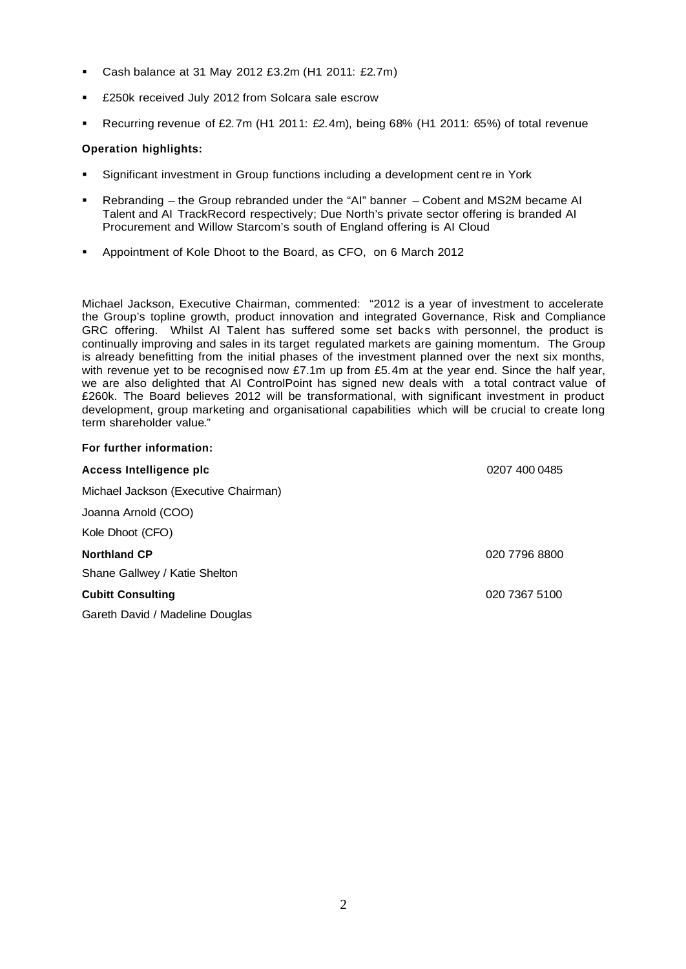- **Cash balance at 31 May 2012 £3.2m (H1 2011: £2.7m)**
- ß £250k received July 2012 from Solcara sale escrow
- ß Recurring revenue of £2.7m (H1 2011: £2.4m), being 68% (H1 2011: 65%) of total revenue

## **Operation highlights:**

**For further information:**

- ß Significant investment in Group functions including a development cent re in York
- ß Rebranding the Group rebranded under the "AI" banner Cobent and MS2M became AI Talent and AI TrackRecord respectively; Due North's private sector offering is branded AI Procurement and Willow Starcom's south of England offering is AI Cloud
- ß Appointment of Kole Dhoot to the Board, as CFO, on 6 March 2012

Michael Jackson, Executive Chairman, commented: "2012 is a year of investment to accelerate the Group's topline growth, product innovation and integrated Governance, Risk and Compliance GRC offering. Whilst AI Talent has suffered some set backs with personnel, the product is continually improving and sales in its target regulated markets are gaining momentum. The Group is already benefitting from the initial phases of the investment planned over the next six months, with revenue yet to be recognised now £7.1m up from £5.4m at the year end. Since the half year, we are also delighted that AI ControlPoint has signed new deals with a total contract value of £260k. The Board believes 2012 will be transformational, with significant investment in product development, group marketing and organisational capabilities which will be crucial to create long term shareholder value."

| Access Intelligence plc              | 0207 400 0485 |
|--------------------------------------|---------------|
| Michael Jackson (Executive Chairman) |               |
| Joanna Arnold (COO)                  |               |
| Kole Dhoot (CFO)                     |               |
| <b>Northland CP</b>                  | 020 7796 8800 |
| Shane Gallwey / Katie Shelton        |               |
| <b>Cubitt Consulting</b>             | 020 7367 5100 |
| Gareth David / Madeline Douglas      |               |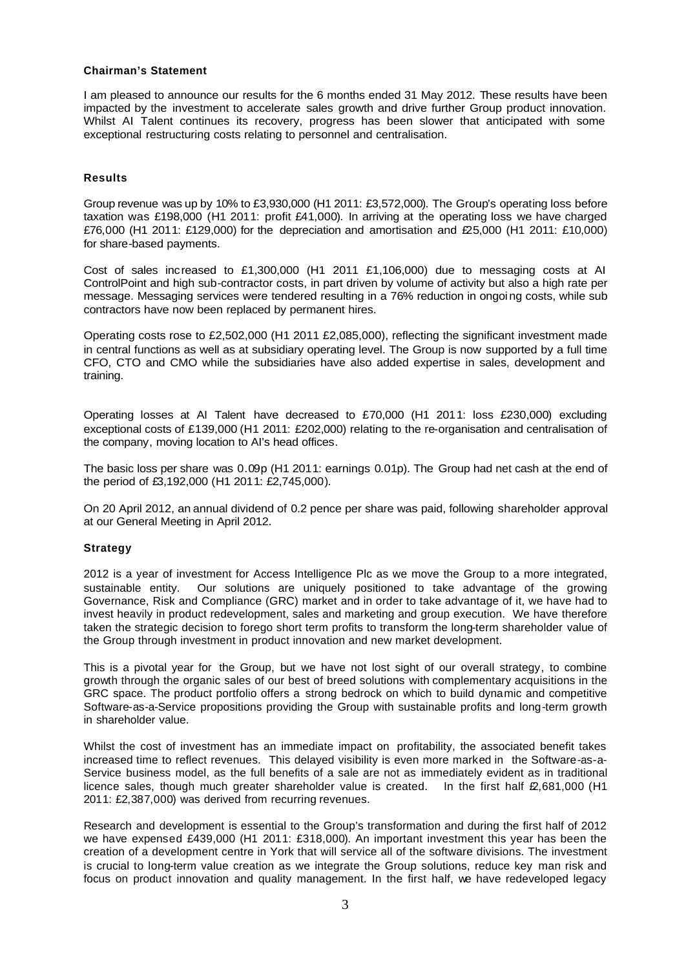### **Chairman's Statement**

I am pleased to announce our results for the 6 months ended 31 May 2012. These results have been impacted by the investment to accelerate sales growth and drive further Group product innovation. Whilst AI Talent continues its recovery, progress has been slower that anticipated with some exceptional restructuring costs relating to personnel and centralisation.

### **Results**

Group revenue was up by 10% to  $£3,930,000$  (H1 2011:  $£3,572,000$ ). The Group's operating loss before taxation was £198,000 (H1 2011: profit £41,000). In arriving at the operating loss we have charged £76,000 (H1 2011: £129,000) for the depreciation and amortisation and £25,000 (H1 2011: £10,000) for share-based payments.

Cost of sales increased to £1,300,000 (H1 2011 £1,106,000) due to messaging costs at AI ControlPoint and high sub-contractor costs, in part driven by volume of activity but also a high rate per message. Messaging services were tendered resulting in a 76% reduction in ongoing costs, while sub contractors have now been replaced by permanent hires.

Operating costs rose to £2,502,000 (H1 2011 £2,085,000), reflecting the significant investment made in central functions as well as at subsidiary operating level. The Group is now supported by a full time CFO, CTO and CMO while the subsidiaries have also added expertise in sales, development and training.

Operating losses at AI Talent have decreased to £70,000 (H1 2011: loss £230,000) excluding exceptional costs of £139,000 (H1 2011: £202,000) relating to the re-organisation and centralisation of the company, moving location to AI's head offices.

The basic loss per share was 0.09p (H1 2011: earnings 0.01p). The Group had net cash at the end of the period of £3,192,000 (H1 2011: £2,745,000).

On 20 April 2012, an annual dividend of 0.2 pence per share was paid, following shareholder approval at our General Meeting in April 2012.

### **Strategy**

2012 is a year of investment for Access Intelligence Plc as we move the Group to a more integrated, sustainable entity. Our solutions are uniquely positioned to take advantage of the growing Governance, Risk and Compliance (GRC) market and in order to take advantage of it, we have had to invest heavily in product redevelopment, sales and marketing and group execution. We have therefore taken the strategic decision to forego short term profits to transform the long-term shareholder value of the Group through investment in product innovation and new market development.

This is a pivotal year for the Group, but we have not lost sight of our overall strategy, to combine growth through the organic sales of our best of breed solutions with complementary acquisitions in the GRC space. The product portfolio offers a strong bedrock on which to build dynamic and competitive Software-as-a-Service propositions providing the Group with sustainable profits and long-term growth in shareholder value.

Whilst the cost of investment has an immediate impact on profitability, the associated benefit takes increased time to reflect revenues. This delayed visibility is even more marked in the Software-as-a-Service business model, as the full benefits of a sale are not as immediately evident as in traditional licence sales, though much greater shareholder value is created. In the first half £2,681,000 (H1 2011: £2,387,000) was derived from recurring revenues.

Research and development is essential to the Group's transformation and during the first half of 2012 we have expensed £439,000 (H1 2011: £318,000). An important investment this year has been the creation of a development centre in York that will service all of the software divisions. The investment is crucial to long-term value creation as we integrate the Group solutions, reduce key man risk and focus on product innovation and quality management. In the first half, we have redeveloped legacy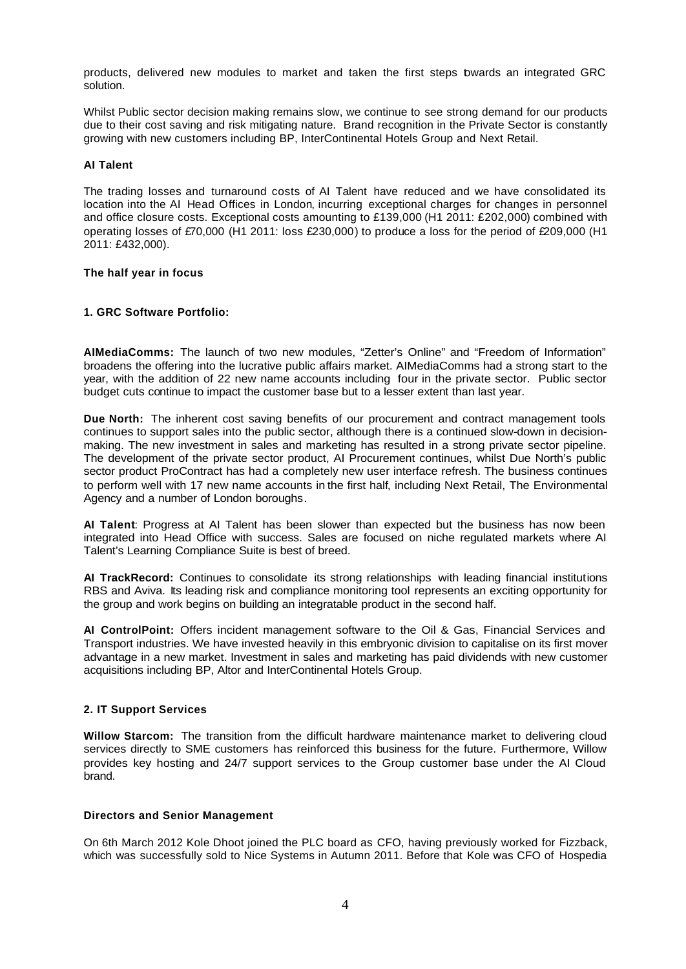products, delivered new modules to market and taken the first steps bwards an integrated GRC solution.

Whilst Public sector decision making remains slow, we continue to see strong demand for our products due to their cost saving and risk mitigating nature. Brand recognition in the Private Sector is constantly growing with new customers including BP, InterContinental Hotels Group and Next Retail.

### **AI Talent**

The trading losses and turnaround costs of AI Talent have reduced and we have consolidated its location into the AI Head Offices in London, incurring exceptional charges for changes in personnel and office closure costs. Exceptional costs amounting to £139,000 (H1 2011: £202,000) combined with operating losses of £70,000 (H1 2011: loss £230,000) to produce a loss for the period of £209,000 (H1 2011: £432,000).

### **The half year in focus**

## **1. GRC Software Portfolio:**

**AIMediaComms:** The launch of two new modules, "Zetter's Online" and "Freedom of Information" broadens the offering into the lucrative public affairs market. AIMediaComms had a strong start to the year, with the addition of 22 new name accounts including four in the private sector. Public sector budget cuts continue to impact the customer base but to a lesser extent than last year.

**Due North:** The inherent cost saving benefits of our procurement and contract management tools continues to support sales into the public sector, although there is a continued slow-down in decisionmaking. The new investment in sales and marketing has resulted in a strong private sector pipeline. The development of the private sector product, AI Procurement continues, whilst Due North's public sector product ProContract has had a completely new user interface refresh. The business continues to perform well with 17 new name accounts in the first half, including Next Retail, The Environmental Agency and a number of London boroughs.

**AI Talent**: Progress at AI Talent has been slower than expected but the business has now been integrated into Head Office with success. Sales are focused on niche regulated markets where AI Talent's Learning Compliance Suite is best of breed.

**AI TrackRecord:** Continues to consolidate its strong relationships with leading financial institutions RBS and Aviva. Its leading risk and compliance monitoring tool represents an exciting opportunity for the group and work begins on building an integratable product in the second half.

**AI ControlPoint:** Offers incident management software to the Oil & Gas, Financial Services and Transport industries. We have invested heavily in this embryonic division to capitalise on its first mover advantage in a new market. Investment in sales and marketing has paid dividends with new customer acquisitions including BP, Altor and InterContinental Hotels Group.

### **2. IT Support Services**

**Willow Starcom:** The transition from the difficult hardware maintenance market to delivering cloud services directly to SME customers has reinforced this business for the future. Furthermore, Willow provides key hosting and 24/7 support services to the Group customer base under the AI Cloud brand.

### **Directors and Senior Management**

On 6th March 2012 Kole Dhoot joined the PLC board as CFO, having previously worked for Fizzback, which was successfully sold to Nice Systems in Autumn 2011. Before that Kole was CFO of Hospedia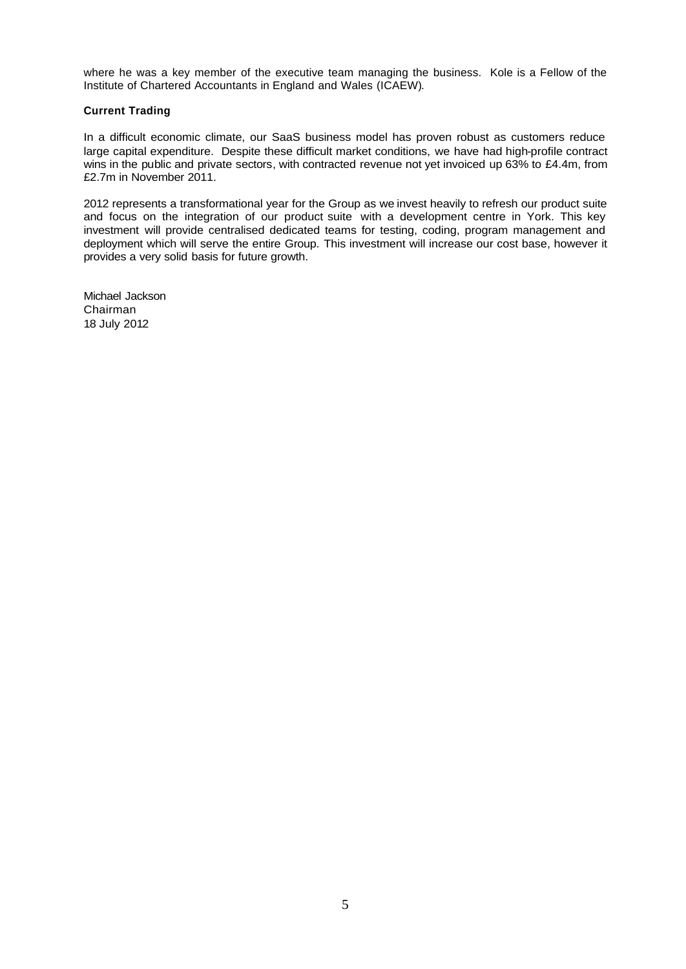where he was a key member of the executive team managing the business. Kole is a Fellow of the Institute of Chartered Accountants in England and Wales (ICAEW).

## **Current Trading**

In a difficult economic climate, our SaaS business model has proven robust as customers reduce large capital expenditure. Despite these difficult market conditions, we have had high-profile contract wins in the public and private sectors, with contracted revenue not yet invoiced up 63% to £4.4m, from £2.7m in November 2011.

2012 represents a transformational year for the Group as we invest heavily to refresh our product suite and focus on the integration of our product suite with a development centre in York. This key investment will provide centralised dedicated teams for testing, coding, program management and deployment which will serve the entire Group. This investment will increase our cost base, however it provides a very solid basis for future growth.

Michael Jackson Chairman 18 July 2012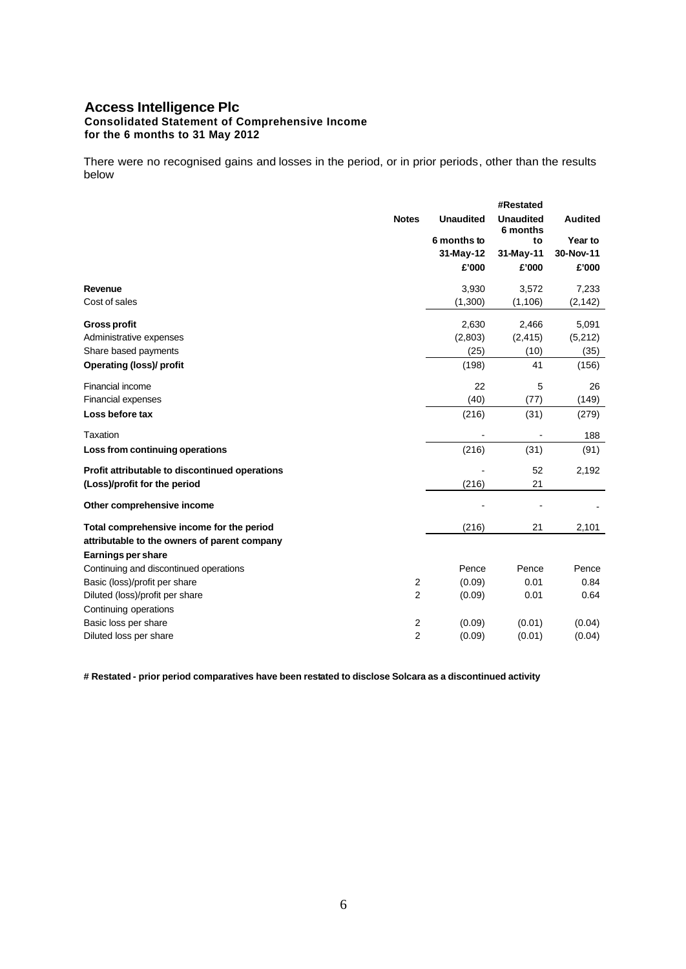## **Access Intelligence Plc Consolidated Statement of Comprehensive Income for the 6 months to 31 May 2012**

There were no recognised gains and losses in the period, or in prior periods, other than the results below

|                                                |                |                  | #Restated                    |                |
|------------------------------------------------|----------------|------------------|------------------------------|----------------|
|                                                | <b>Notes</b>   | <b>Unaudited</b> | <b>Unaudited</b><br>6 months | <b>Audited</b> |
|                                                |                | 6 months to      | to                           | Year to        |
|                                                |                | 31-May-12        | 31-May-11                    | 30-Nov-11      |
|                                                |                | £'000            | £'000                        | £'000          |
| Revenue                                        |                | 3,930            | 3,572                        | 7,233          |
| Cost of sales                                  |                | (1,300)          | (1, 106)                     | (2, 142)       |
| <b>Gross profit</b>                            |                | 2,630            | 2,466                        | 5,091          |
| Administrative expenses                        |                | (2,803)          | (2, 415)                     | (5,212)        |
| Share based payments                           |                | (25)             | (10)                         | (35)           |
| Operating (loss)/ profit                       |                | (198)            | 41                           | (156)          |
| Financial income                               |                | 22               | 5                            | 26             |
| Financial expenses                             |                | (40)             | (77)                         | (149)          |
| Loss before tax                                |                | (216)            | (31)                         | (279)          |
| Taxation                                       |                |                  |                              | 188            |
| Loss from continuing operations                |                | (216)            | (31)                         | (91)           |
| Profit attributable to discontinued operations |                |                  | 52                           | 2,192          |
| (Loss)/profit for the period                   |                | (216)            | 21                           |                |
| Other comprehensive income                     |                |                  |                              |                |
| Total comprehensive income for the period      |                | (216)            | 21                           | 2,101          |
| attributable to the owners of parent company   |                |                  |                              |                |
| <b>Earnings per share</b>                      |                |                  |                              |                |
| Continuing and discontinued operations         |                | Pence            | Pence                        | Pence          |
| Basic (loss)/profit per share                  | $\overline{2}$ | (0.09)           | 0.01                         | 0.84           |
| Diluted (loss)/profit per share                | 2              | (0.09)           | 0.01                         | 0.64           |
| Continuing operations                          |                |                  |                              |                |
| Basic loss per share                           | 2              | (0.09)           | (0.01)                       | (0.04)         |
| Diluted loss per share                         | $\overline{2}$ | (0.09)           | (0.01)                       | (0.04)         |

**# Restated - prior period comparatives have been restated to disclose Solcara as a discontinued activity**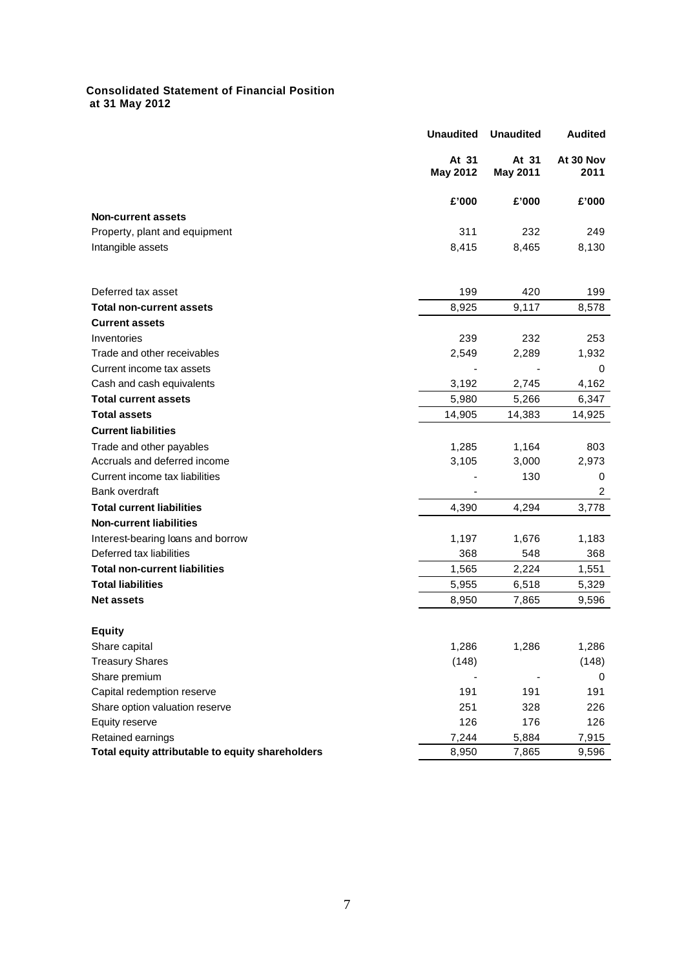#### **Consolidated Statement of Financial Position at 31 May 2012**

|                                                               | <b>Unaudited</b>  | <b>Unaudited</b>         | <b>Audited</b>    |
|---------------------------------------------------------------|-------------------|--------------------------|-------------------|
|                                                               | At 31<br>May 2012 | At 31<br><b>May 2011</b> | At 30 Nov<br>2011 |
|                                                               | £'000             | £'000                    | £'000             |
| <b>Non-current assets</b>                                     |                   |                          |                   |
| Property, plant and equipment                                 | 311               | 232                      | 249               |
| Intangible assets                                             | 8,415             | 8,465                    | 8,130             |
| Deferred tax asset                                            | 199               | 420                      | 199               |
| <b>Total non-current assets</b>                               | 8,925             | 9,117                    | 8,578             |
| <b>Current assets</b>                                         |                   |                          |                   |
| Inventories                                                   | 239               | 232                      | 253               |
| Trade and other receivables                                   | 2,549             | 2,289                    | 1,932             |
| Current income tax assets                                     |                   |                          | 0                 |
| Cash and cash equivalents                                     | 3,192             | 2,745                    | 4,162             |
| <b>Total current assets</b>                                   | 5,980             | 5,266                    | 6,347             |
| <b>Total assets</b>                                           | 14,905            | 14,383                   | 14,925            |
| <b>Current liabilities</b>                                    |                   |                          |                   |
| Trade and other payables                                      | 1,285             | 1,164                    | 803               |
| Accruals and deferred income                                  | 3,105             | 3,000                    | 2,973             |
| Current income tax liabilities                                |                   | 130                      | 0                 |
| Bank overdraft                                                |                   |                          | 2                 |
| <b>Total current liabilities</b>                              | 4,390             | 4,294                    | 3,778             |
| <b>Non-current liabilities</b>                                |                   |                          |                   |
| Interest-bearing loans and borrow<br>Deferred tax liabilities | 1,197<br>368      | 1,676                    | 1,183             |
| <b>Total non-current liabilities</b>                          | 1,565             | 548<br>2,224             | 368<br>1,551      |
| <b>Total liabilities</b>                                      | 5,955             | 6,518                    | 5,329             |
| <b>Net assets</b>                                             | 8,950             | 7,865                    | 9,596             |
|                                                               |                   |                          |                   |
| <b>Equity</b>                                                 |                   |                          |                   |
| Share capital                                                 | 1,286             | 1,286                    | 1,286             |
| <b>Treasury Shares</b>                                        | (148)             |                          | (148)             |
| Share premium                                                 |                   |                          | 0                 |
| Capital redemption reserve                                    | 191               | 191                      | 191               |
| Share option valuation reserve                                | 251               | 328                      | 226               |
| Equity reserve                                                | 126               | 176                      | 126               |
| Retained earnings                                             | 7,244             | 5,884                    | 7,915             |
| Total equity attributable to equity shareholders              | 8,950             | 7,865                    | 9,596             |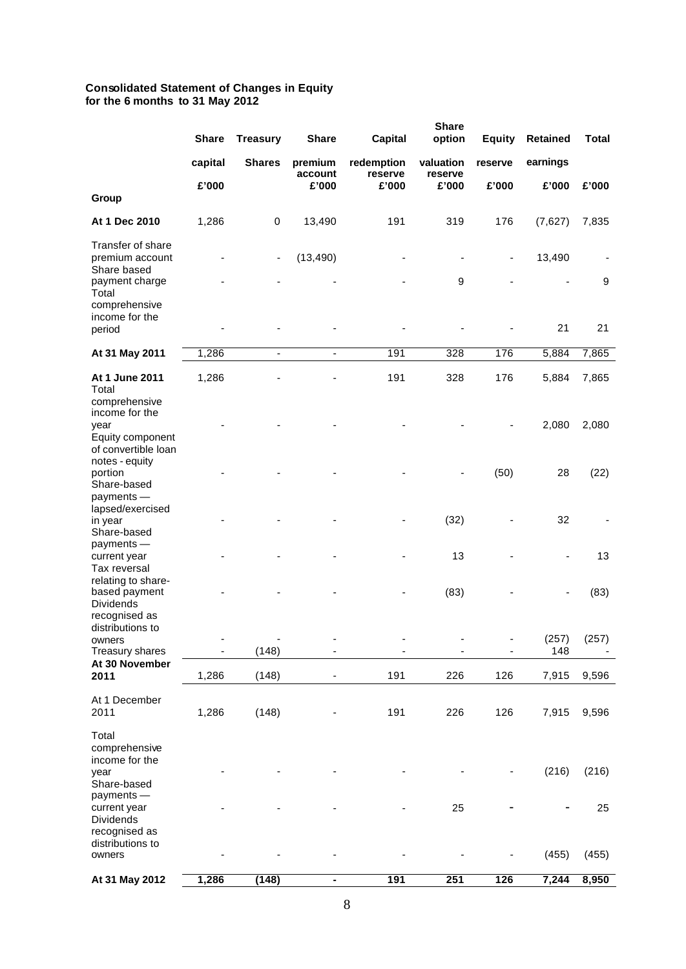#### **Consolidated Statement of Changes in Equity for the 6 months to 31 May 2012**

|                                                                          | <b>Share</b> | <b>Treasury</b>          | <b>Share</b>       | <b>Capital</b>        | <b>Share</b><br>option | <b>Equity</b>                | <b>Retained</b> | <b>Total</b> |
|--------------------------------------------------------------------------|--------------|--------------------------|--------------------|-----------------------|------------------------|------------------------------|-----------------|--------------|
|                                                                          | capital      | <b>Shares</b>            | premium<br>account | redemption<br>reserve | valuation<br>reserve   | reserve                      | earnings        |              |
| Group                                                                    | £'000        |                          | £'000              | £'000                 | £'000                  | £'000                        | £'000           | £'000        |
| At 1 Dec 2010                                                            | 1,286        | 0                        | 13,490             | 191                   | 319                    | 176                          | (7,627)         | 7,835        |
| Transfer of share<br>premium account                                     |              | $\overline{\phantom{a}}$ | (13, 490)          |                       |                        | $\qquad \qquad \blacksquare$ | 13,490          |              |
| Share based<br>payment charge<br>Total                                   |              |                          |                    |                       | 9                      |                              |                 | 9            |
| comprehensive<br>income for the<br>period                                |              |                          |                    |                       |                        |                              | 21              | 21           |
| At 31 May 2011                                                           | 1,286        | $\blacksquare$           | $\blacksquare$     | 191                   | 328                    | 176                          | 5,884           | 7,865        |
| At 1 June 2011<br>Total                                                  | 1,286        |                          |                    | 191                   | 328                    | 176                          | 5,884           | 7,865        |
| comprehensive<br>income for the<br>year                                  |              |                          |                    |                       |                        |                              | 2,080           | 2,080        |
| Equity component<br>of convertible loan<br>notes - equity<br>portion     |              |                          |                    |                       |                        | (50)                         | 28              | (22)         |
| Share-based<br>payments -<br>lapsed/exercised                            |              |                          |                    |                       |                        |                              |                 |              |
| in year<br>Share-based                                                   |              |                          |                    |                       | (32)                   |                              | 32              |              |
| payments -<br>current year<br>Tax reversal                               |              |                          |                    |                       | 13                     |                              | ٠               | 13           |
| relating to share-<br>based payment<br><b>Dividends</b><br>recognised as |              |                          |                    |                       | (83)                   |                              |                 | (83)         |
| distributions to<br>owners<br>Treasury shares                            |              | (148)                    |                    |                       |                        |                              | (257)<br>148    | (257)        |
| At 30 November<br>2011                                                   | 1,286        | (148)                    |                    | 191                   | 226                    | 126                          | 7,915           | 9,596        |
| At 1 December<br>2011                                                    | 1,286        | (148)                    |                    | 191                   | 226                    | 126                          | 7,915           | 9,596        |
| Total<br>comprehensive<br>income for the                                 |              |                          |                    |                       |                        |                              |                 |              |
| year<br>Share-based<br>payments -                                        |              |                          |                    |                       |                        |                              | (216)           | (216)        |
| current year<br>Dividends<br>recognised as<br>distributions to           |              |                          |                    |                       | 25                     |                              |                 | 25           |
| owners                                                                   |              |                          |                    |                       |                        |                              | (455)           | (455)        |
| At 31 May 2012                                                           | 1,286        | (148)                    |                    | 191                   | 251                    | 126                          | 7,244           | 8,950        |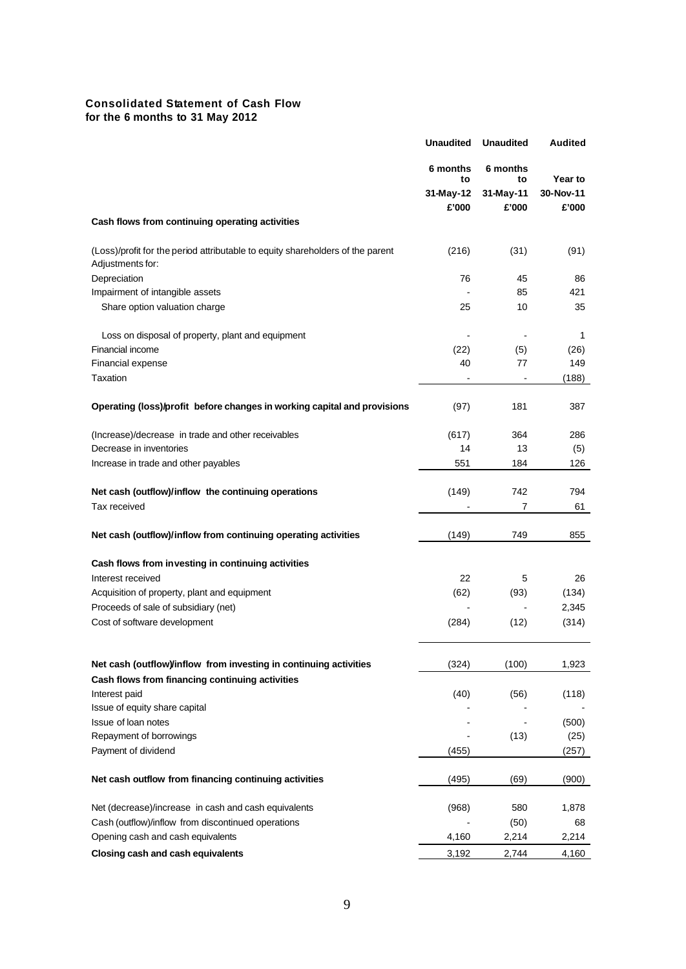# **Consolidated Statement of Cash Flow for the 6 months to 31 May 2012**

|                                                                                                    | <b>Unaudited</b> | <b>Unaudited</b>         | Audited   |
|----------------------------------------------------------------------------------------------------|------------------|--------------------------|-----------|
|                                                                                                    | 6 months<br>to   | 6 months<br>to           | Year to   |
|                                                                                                    | 31-May-12        | 31-May-11                | 30-Nov-11 |
|                                                                                                    | £'000            | £'000                    | £'000     |
| Cash flows from continuing operating activities                                                    |                  |                          |           |
| (Loss)/profit for the period attributable to equity shareholders of the parent<br>Adjustments for: | (216)            | (31)                     | (91)      |
| Depreciation                                                                                       | 76               | 45                       | 86        |
| Impairment of intangible assets                                                                    |                  | 85                       | 421       |
| Share option valuation charge                                                                      | 25               | 10                       | 35        |
| Loss on disposal of property, plant and equipment                                                  |                  | $\overline{\phantom{a}}$ | 1         |
| Financial income                                                                                   | (22)             | (5)                      | (26)      |
| Financial expense                                                                                  | 40               | 77                       | 149       |
| Taxation                                                                                           |                  |                          | (188)     |
| Operating (loss)/profit before changes in working capital and provisions                           | (97)             | 181                      | 387       |
| (Increase)/decrease in trade and other receivables                                                 | (617)            | 364                      | 286       |
| Decrease in inventories                                                                            | 14               | 13                       | (5)       |
| Increase in trade and other payables                                                               | 551              | 184                      | 126       |
| Net cash (outflow)/inflow the continuing operations                                                | (149)            | 742                      | 794       |
| Tax received                                                                                       |                  | 7                        | 61        |
| Net cash (outflow)/inflow from continuing operating activities                                     | (149)            | 749                      | 855       |
| Cash flows from investing in continuing activities                                                 |                  |                          |           |
| Interest received                                                                                  | 22               | 5                        | 26        |
| Acquisition of property, plant and equipment                                                       | (62)             | (93)                     | (134)     |
| Proceeds of sale of subsidiary (net)                                                               |                  |                          | 2,345     |
| Cost of software development                                                                       | (284)            | (12)                     | (314)     |
| Net cash (outflow)/inflow from investing in continuing activities                                  | (324)            | (100)                    | 1,923     |
| Cash flows from financing continuing activities                                                    |                  |                          |           |
| Interest paid                                                                                      | (40)             | (56)                     | (118)     |
| Issue of equity share capital                                                                      |                  |                          |           |
| Issue of loan notes                                                                                |                  |                          | (500)     |
| Repayment of borrowings                                                                            |                  | (13)                     | (25)      |
| Payment of dividend                                                                                | (455)            |                          | (257)     |
| Net cash outflow from financing continuing activities                                              | (495)            | (69)                     | (900)     |
| Net (decrease)/increase in cash and cash equivalents                                               | (968)            | 580                      | 1,878     |
| Cash (outflow)/inflow from discontinued operations                                                 |                  | (50)                     | 68        |
| Opening cash and cash equivalents                                                                  | 4,160            | 2,214                    | 2,214     |
| Closing cash and cash equivalents                                                                  | 3,192            | 2,744                    | 4,160     |
|                                                                                                    |                  |                          |           |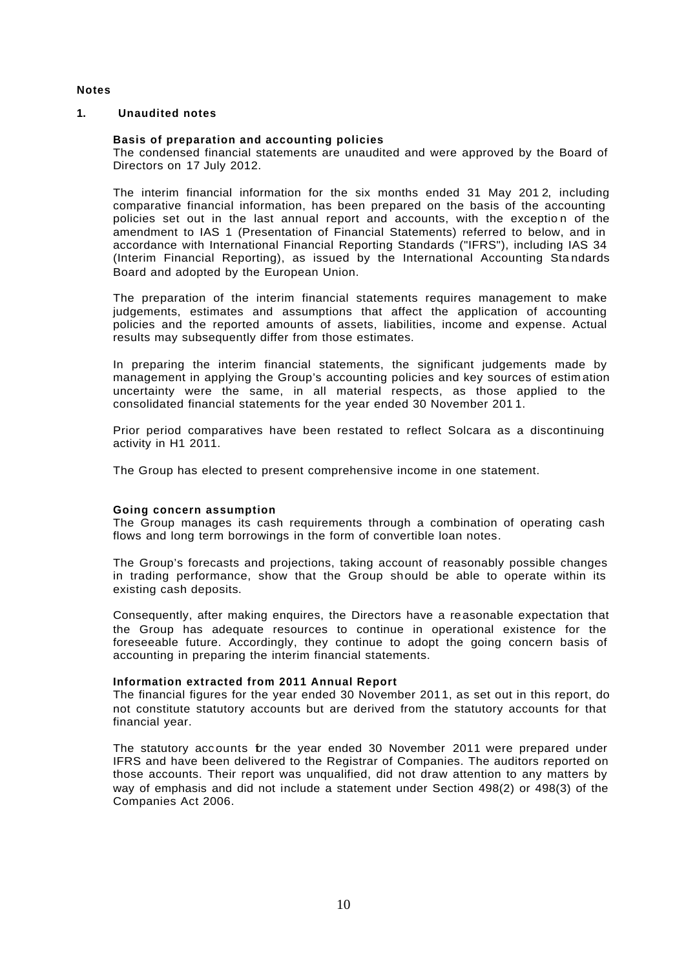## **Notes**

### **1. Unaudited notes**

## **Basis of preparation and accounting policies**

The condensed financial statements are unaudited and were approved by the Board of Directors on 17 July 2012.

The interim financial information for the six months ended 31 May 2012, including comparative financial information, has been prepared on the basis of the accounting policies set out in the last annual report and accounts, with the exception of the amendment to IAS 1 (Presentation of Financial Statements) referred to below, and in accordance with International Financial Reporting Standards ("IFRS"), including IAS 34 (Interim Financial Reporting), as issued by the International Accounting Sta ndards Board and adopted by the European Union.

The preparation of the interim financial statements requires management to make judgements, estimates and assumptions that affect the application of accounting policies and the reported amounts of assets, liabilities, income and expense. Actual results may subsequently differ from those estimates.

In preparing the interim financial statements, the significant judgements made by management in applying the Group's accounting policies and key sources of estim ation uncertainty were the same, in all material respects, as those applied to the consolidated financial statements for the year ended 30 November 201 1.

Prior period comparatives have been restated to reflect Solcara as a discontinuing activity in H1 2011.

The Group has elected to present comprehensive income in one statement.

### **Going concern assumption**

The Group manages its cash requirements through a combination of operating cash flows and long term borrowings in the form of convertible loan notes.

The Group's forecasts and projections, taking account of reasonably possible changes in trading performance, show that the Group should be able to operate within its existing cash deposits.

Consequently, after making enquires, the Directors have a reasonable expectation that the Group has adequate resources to continue in operational existence for the foreseeable future. Accordingly, they continue to adopt the going concern basis of accounting in preparing the interim financial statements.

### **Information extracted from 2011 Annual Report**

The financial figures for the year ended 30 November 2011, as set out in this report, do not constitute statutory accounts but are derived from the statutory accounts for that financial year.

The statutory accounts for the year ended 30 November 2011 were prepared under IFRS and have been delivered to the Registrar of Companies. The auditors reported on those accounts. Their report was unqualified, did not draw attention to any matters by way of emphasis and did not include a statement under Section 498(2) or 498(3) of the Companies Act 2006.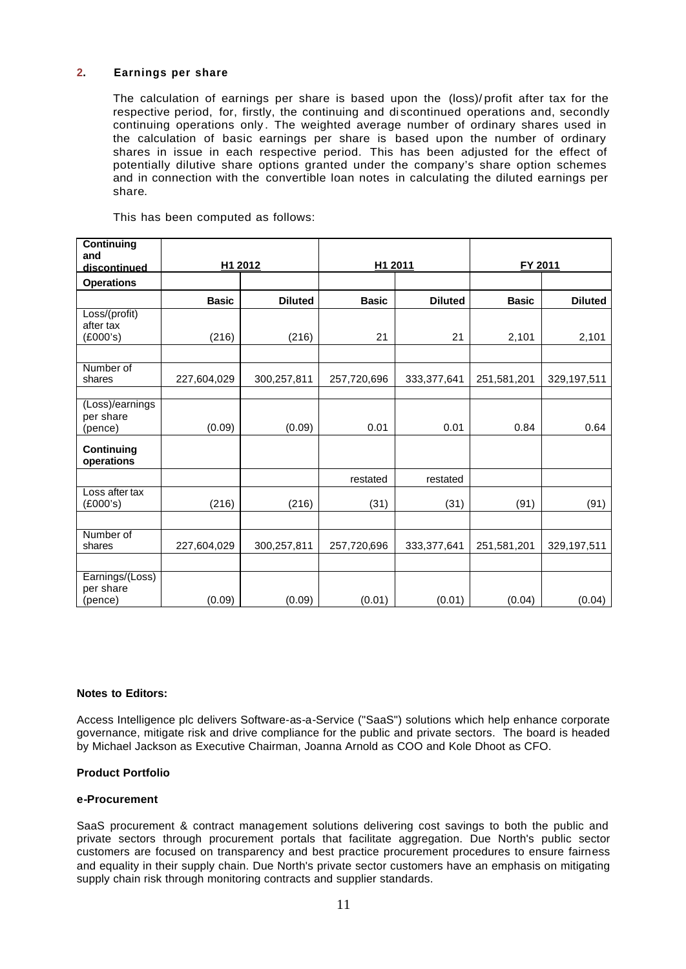## **2. Earnings per share**

The calculation of earnings per share is based upon the (loss)/ profit after tax for the respective period, for, firstly, the continuing and di scontinued operations and, secondly continuing operations only . The weighted average number of ordinary shares used in the calculation of basic earnings per share is based upon the number of ordinary shares in issue in each respective period. This has been adjusted for the effect of potentially dilutive share options granted under the company's share option schemes and in connection with the convertible loan notes in calculating the diluted earnings per share.

This has been computed as follows:

| Continuing<br>and                       |                     |                |                     |                |              |                |
|-----------------------------------------|---------------------|----------------|---------------------|----------------|--------------|----------------|
| discontinued                            | H <sub>1</sub> 2012 |                | H <sub>1</sub> 2011 |                | FY 2011      |                |
| <b>Operations</b>                       |                     |                |                     |                |              |                |
|                                         | <b>Basic</b>        | <b>Diluted</b> | <b>Basic</b>        | <b>Diluted</b> | <b>Basic</b> | <b>Diluted</b> |
| Loss/(profit)<br>after tax              |                     |                |                     |                |              |                |
| (E000's)                                | (216)               | (216)          | 21                  | 21             | 2,101        | 2,101          |
|                                         |                     |                |                     |                |              |                |
| Number of<br>shares                     | 227,604,029         | 300,257,811    | 257,720,696         | 333, 377, 641  | 251,581,201  | 329,197,511    |
|                                         |                     |                |                     |                |              |                |
| (Loss)/earnings<br>per share<br>(pence) | (0.09)              | (0.09)         | 0.01                | 0.01           | 0.84         | 0.64           |
| Continuing<br>operations                |                     |                |                     |                |              |                |
|                                         |                     |                | restated            | restated       |              |                |
| Loss after tax<br>(£000's)              | (216)               | (216)          | (31)                | (31)           | (91)         | (91)           |
|                                         |                     |                |                     |                |              |                |
| Number of<br>shares                     | 227,604,029         | 300,257,811    | 257,720,696         | 333, 377, 641  | 251,581,201  | 329,197,511    |
|                                         |                     |                |                     |                |              |                |
| Earnings/(Loss)<br>per share<br>(pence) | (0.09)              | (0.09)         | (0.01)              | (0.01)         | (0.04)       | (0.04)         |

### **Notes to Editors:**

Access Intelligence plc delivers Software-as-a-Service ("SaaS") solutions which help enhance corporate governance, mitigate risk and drive compliance for the public and private sectors. The board is headed by Michael Jackson as Executive Chairman, Joanna Arnold as COO and Kole Dhoot as CFO.

### **Product Portfolio**

# **e-Procurement**

SaaS procurement & contract management solutions delivering cost savings to both the public and private sectors through procurement portals that facilitate aggregation. Due North's public sector customers are focused on transparency and best practice procurement procedures to ensure fairness and equality in their supply chain. Due North's private sector customers have an emphasis on mitigating supply chain risk through monitoring contracts and supplier standards.